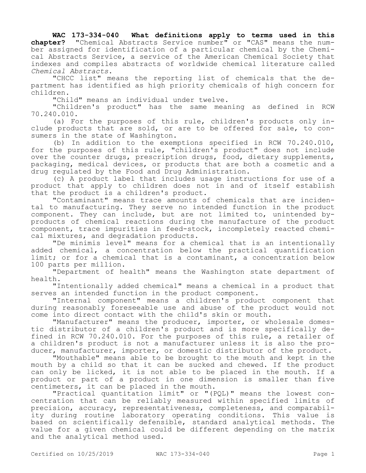**WAC 173-334-040 What definitions apply to terms used in this chapter?** "Chemical Abstracts Service number" or "CAS" means the number assigned for identification of a particular chemical by the Chemical Abstracts Service, a service of the American Chemical Society that indexes and compiles abstracts of worldwide chemical literature called *Chemical Abstracts*.

"CHCC list" means the reporting list of chemicals that the department has identified as high priority chemicals of high concern for children.

"Child" means an individual under twelve.

"Children's product" has the same meaning as defined in RCW 70.240.010.

(a) For the purposes of this rule, children's products only include products that are sold, or are to be offered for sale, to consumers in the state of Washington.

(b) In addition to the exemptions specified in RCW 70.240.010, for the purposes of this rule, "children's product" does not include over the counter drugs, prescription drugs, food, dietary supplements, packaging, medical devices, or products that are both a cosmetic and a drug regulated by the Food and Drug Administration.

(c) A product label that includes usage instructions for use of a product that apply to children does not in and of itself establish that the product is a children's product.

"Contaminant" means trace amounts of chemicals that are incidental to manufacturing. They serve no intended function in the product component. They can include, but are not limited to, unintended byproducts of chemical reactions during the manufacture of the product component, trace impurities in feed-stock, incompletely reacted chemical mixtures, and degradation products.

"De minimis level" means for a chemical that is an intentionally added chemical, a concentration below the practical quantification limit; or for a chemical that is a contaminant, a concentration below 100 parts per million.

"Department of health" means the Washington state department of health.

"Intentionally added chemical" means a chemical in a product that serves an intended function in the product component.

"Internal component" means a children's product component that during reasonably foreseeable use and abuse of the product would not come into direct contact with the child's skin or mouth.

"Manufacturer" means the producer, importer, or wholesale domestic distributor of a children's product and is more specifically defined in RCW 70.240.010. For the purposes of this rule, a retailer of a children's product is not a manufacturer unless it is also the producer, manufacturer, importer, or domestic distributor of the product.

"Mouthable" means able to be brought to the mouth and kept in the mouth by a child so that it can be sucked and chewed. If the product can only be licked, it is not able to be placed in the mouth. If a product or part of a product in one dimension is smaller than five centimeters, it can be placed in the mouth.

"Practical quantitation limit" or "(PQL)" means the lowest concentration that can be reliably measured within specified limits of precision, accuracy, representativeness, completeness, and comparability during routine laboratory operating conditions. This value is based on scientifically defensible, standard analytical methods. The value for a given chemical could be different depending on the matrix and the analytical method used.